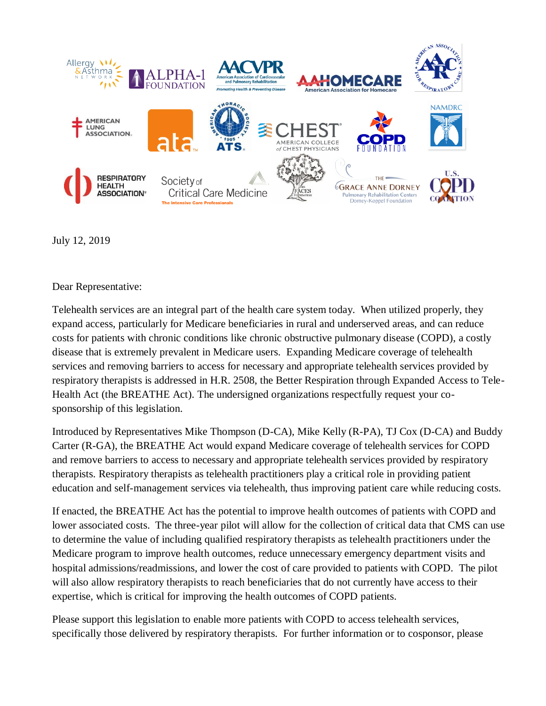

July 12, 2019

Dear Representative:

Telehealth services are an integral part of the health care system today. When utilized properly, they expand access, particularly for Medicare beneficiaries in rural and underserved areas, and can reduce costs for patients with chronic conditions like chronic obstructive pulmonary disease (COPD), a costly disease that is extremely prevalent in Medicare users. Expanding Medicare coverage of telehealth services and removing barriers to access for necessary and appropriate telehealth services provided by respiratory therapists is addressed in H.R. 2508, the Better Respiration through Expanded Access to Tele-Health Act (the BREATHE Act). The undersigned organizations respectfully request your cosponsorship of this legislation.

Introduced by Representatives Mike Thompson (D-CA), Mike Kelly (R-PA), TJ Cox (D-CA) and Buddy Carter (R-GA), the BREATHE Act would expand Medicare coverage of telehealth services for COPD and remove barriers to access to necessary and appropriate telehealth services provided by respiratory therapists. Respiratory therapists as telehealth practitioners play a critical role in providing patient education and self-management services via telehealth, thus improving patient care while reducing costs.

If enacted, the BREATHE Act has the potential to improve health outcomes of patients with COPD and lower associated costs. The three-year pilot will allow for the collection of critical data that CMS can use to determine the value of including qualified respiratory therapists as telehealth practitioners under the Medicare program to improve health outcomes, reduce unnecessary emergency department visits and hospital admissions/readmissions, and lower the cost of care provided to patients with COPD. The pilot will also allow respiratory therapists to reach beneficiaries that do not currently have access to their expertise, which is critical for improving the health outcomes of COPD patients.

Please support this legislation to enable more patients with COPD to access telehealth services, specifically those delivered by respiratory therapists. For further information or to cosponsor, please